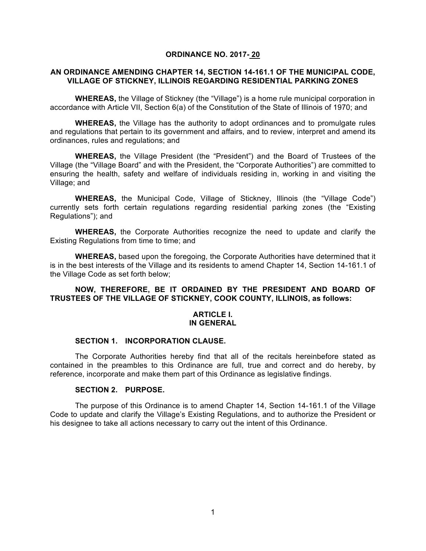#### **ORDINANCE NO. 2017- 20**

#### **AN ORDINANCE AMENDING CHAPTER 14, SECTION 14-161.1 OF THE MUNICIPAL CODE, VILLAGE OF STICKNEY, ILLINOIS REGARDING RESIDENTIAL PARKING ZONES**

**WHEREAS,** the Village of Stickney (the "Village") is a home rule municipal corporation in accordance with Article VII, Section 6(a) of the Constitution of the State of Illinois of 1970; and

**WHEREAS,** the Village has the authority to adopt ordinances and to promulgate rules and regulations that pertain to its government and affairs, and to review, interpret and amend its ordinances, rules and regulations; and

**WHEREAS,** the Village President (the "President") and the Board of Trustees of the Village (the "Village Board" and with the President, the "Corporate Authorities") are committed to ensuring the health, safety and welfare of individuals residing in, working in and visiting the Village; and

**WHEREAS,** the Municipal Code, Village of Stickney, Illinois (the "Village Code") currently sets forth certain regulations regarding residential parking zones (the "Existing Regulations"); and

**WHEREAS,** the Corporate Authorities recognize the need to update and clarify the Existing Regulations from time to time; and

**WHEREAS,** based upon the foregoing, the Corporate Authorities have determined that it is in the best interests of the Village and its residents to amend Chapter 14, Section 14-161.1 of the Village Code as set forth below;

### **NOW, THEREFORE, BE IT ORDAINED BY THE PRESIDENT AND BOARD OF TRUSTEES OF THE VILLAGE OF STICKNEY, COOK COUNTY, ILLINOIS, as follows:**

#### **ARTICLE I. IN GENERAL**

#### **SECTION 1. INCORPORATION CLAUSE.**

The Corporate Authorities hereby find that all of the recitals hereinbefore stated as contained in the preambles to this Ordinance are full, true and correct and do hereby, by reference, incorporate and make them part of this Ordinance as legislative findings.

#### **SECTION 2. PURPOSE.**

The purpose of this Ordinance is to amend Chapter 14, Section 14-161.1 of the Village Code to update and clarify the Village's Existing Regulations, and to authorize the President or his designee to take all actions necessary to carry out the intent of this Ordinance.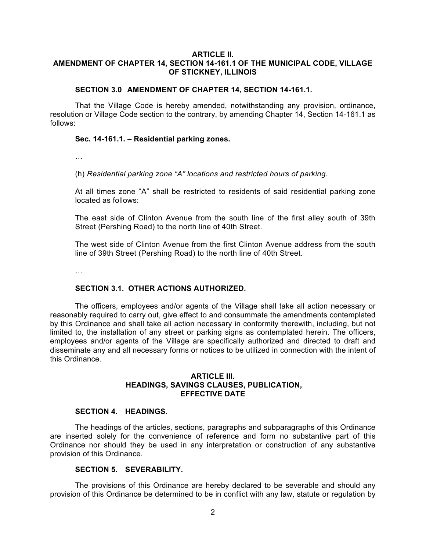# **ARTICLE II.**

## **AMENDMENT OF CHAPTER 14, SECTION 14-161.1 OF THE MUNICIPAL CODE, VILLAGE OF STICKNEY, ILLINOIS**

#### **SECTION 3.0 AMENDMENT OF CHAPTER 14, SECTION 14-161.1.**

That the Village Code is hereby amended, notwithstanding any provision, ordinance, resolution or Village Code section to the contrary, by amending Chapter 14, Section 14-161.1 as follows:

#### **Sec. 14-161.1. – Residential parking zones.**

…

(h) *Residential parking zone "A" locations and restricted hours of parking.*

At all times zone "A" shall be restricted to residents of said residential parking zone located as follows:

The east side of Clinton Avenue from the south line of the first alley south of 39th Street (Pershing Road) to the north line of 40th Street.

The west side of Clinton Avenue from the first Clinton Avenue address from the south line of 39th Street (Pershing Road) to the north line of 40th Street.

…

### **SECTION 3.1. OTHER ACTIONS AUTHORIZED.**

The officers, employees and/or agents of the Village shall take all action necessary or reasonably required to carry out, give effect to and consummate the amendments contemplated by this Ordinance and shall take all action necessary in conformity therewith, including, but not limited to, the installation of any street or parking signs as contemplated herein. The officers, employees and/or agents of the Village are specifically authorized and directed to draft and disseminate any and all necessary forms or notices to be utilized in connection with the intent of this Ordinance.

### **ARTICLE III. HEADINGS, SAVINGS CLAUSES, PUBLICATION, EFFECTIVE DATE**

#### **SECTION 4. HEADINGS.**

The headings of the articles, sections, paragraphs and subparagraphs of this Ordinance are inserted solely for the convenience of reference and form no substantive part of this Ordinance nor should they be used in any interpretation or construction of any substantive provision of this Ordinance.

#### **SECTION 5. SEVERABILITY.**

The provisions of this Ordinance are hereby declared to be severable and should any provision of this Ordinance be determined to be in conflict with any law, statute or regulation by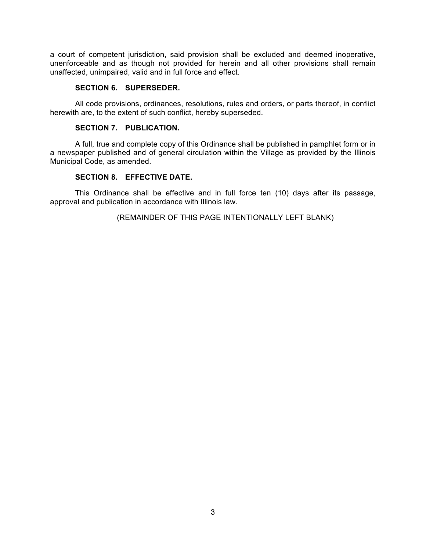a court of competent jurisdiction, said provision shall be excluded and deemed inoperative, unenforceable and as though not provided for herein and all other provisions shall remain unaffected, unimpaired, valid and in full force and effect.

## **SECTION 6. SUPERSEDER.**

All code provisions, ordinances, resolutions, rules and orders, or parts thereof, in conflict herewith are, to the extent of such conflict, hereby superseded.

## **SECTION 7. PUBLICATION.**

A full, true and complete copy of this Ordinance shall be published in pamphlet form or in a newspaper published and of general circulation within the Village as provided by the Illinois Municipal Code, as amended.

## **SECTION 8. EFFECTIVE DATE.**

This Ordinance shall be effective and in full force ten (10) days after its passage, approval and publication in accordance with Illinois law.

(REMAINDER OF THIS PAGE INTENTIONALLY LEFT BLANK)